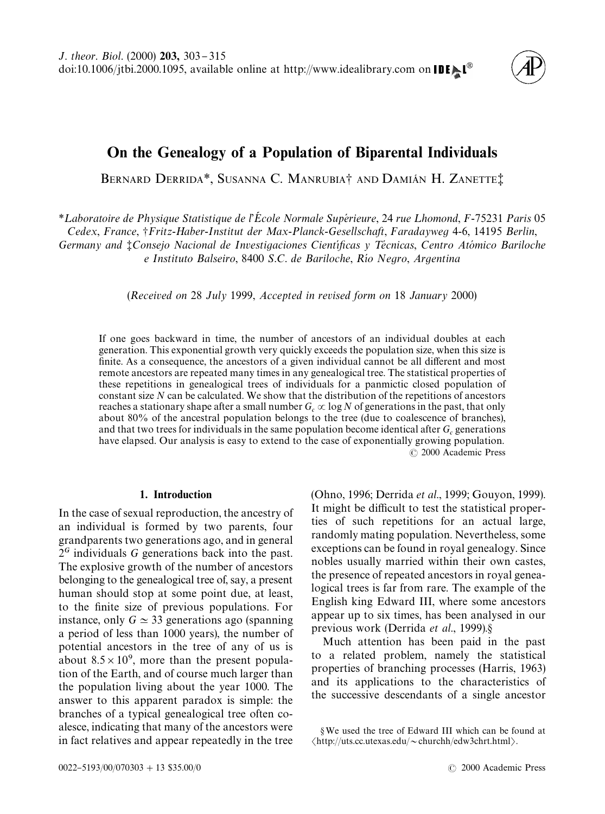# On the Genealogy of a Population of Biparental Individuals

BERNARD DERRIDA<sup>\*</sup>, SUSANNA C. MANRUBIA<sup>†</sup> AND DAMIÁN H. ZANETTE<sup>†</sup>

*\** Laboratoire de Physique Statistique de l'École Normale Supérieure, 24 rue Lhomond, F-75231 Paris 05 *Cedex*, *France*, -*Fritz*-*Haber*-*Institut der Max*-*Planck*-*Gesellschaft*, *Faradayweg* 4-6, 14195 *Berlin*,

*Germany and ‡Consejo Nacional de Investigaciones Científicas y Técnicas, Centro Atómico Bariloche e Instituto Balseiro, 8400 S.C. de Bariloche, Río Negro, Argentina* 

(*Received on* 28 *July* 1999, *Accepted in revised form on* 18 *January* 2000)

If one goes backward in time, the number of ancestors of an individual doubles at each generation. This exponential growth very quickly exceeds the population size, when this size is finite. As a consequence, the ancestors of a given individual cannot be all different and most remote ancestors are repeated many times in any genealogical tree. The statistical properties of these repetitions in genealogical trees of individuals for a panmictic closed population of constant size *N* can be calculated. We show that the distribution of the repetitions of ancestors reaches a stationary shape after a small number  $G_c \propto \log N$  of generations in the past, that only about 80% of the ancestral population belongs to the tree (due to coalescence of branches), and that two trees for individuals in the same population become identical after  $G_c$  generations have elapsed. Our analysis is easy to extend to the case of exponentially growing population. ( 2000 Academic Press

# 1. Introduction

In the case of sexual reproduction, the ancestry of an individual is formed by two parents, four grandparents two generations ago, and in general  $2<sup>G</sup>$  individuals *G* generations back into the past. The explosive growth of the number of ancestors belonging to the genealogical tree of, say, a present human should stop at some point due, at least, to the finite size of previous populations. For instance, only  $G \simeq 33$  generations ago (spanning a period of less than 1000 years), the number of potential ancestors in the tree of any of us is about  $8.5 \times 10^9$ , more than the present population of the Earth, and of course much larger than the population living about the year 1000. The answer to this apparent paradox is simple: the branches of a typical genealogical tree often coalesce, indicating that many of the ancestors were in fact relatives and appear repeatedly in the tree [\(Ohno, 1996; Derrida](#page-8-0) *et al*., 1999; [Gouyon, 1999\)](#page-8-0). It might be difficult to test the statistical properties of such repetitions for an actual large, randomly mating population. Nevertheless, some exceptions can be found in royal genealogy. Since nobles usually married within their own castes, the presence of repeated ancestors in royal genealogical trees is far from rare. The example of the English king Edward III, where some ancestors appear up to six times, has been analysed in our previous work [\(Derrida](#page-8-0) *et al.*, 1999).§

Much attention has been paid in the past to a related problem, namely the statistical properties of branching processes [\(Harris, 1963\)](#page-8-0) and its applications to the characteristics of the successive descendants of a single ancestor

AWe used the tree of Edward III which can be found at  $\langle$ http://uts.cc.utexas.edu/~churchh/edw3chrt.html $\rangle$ .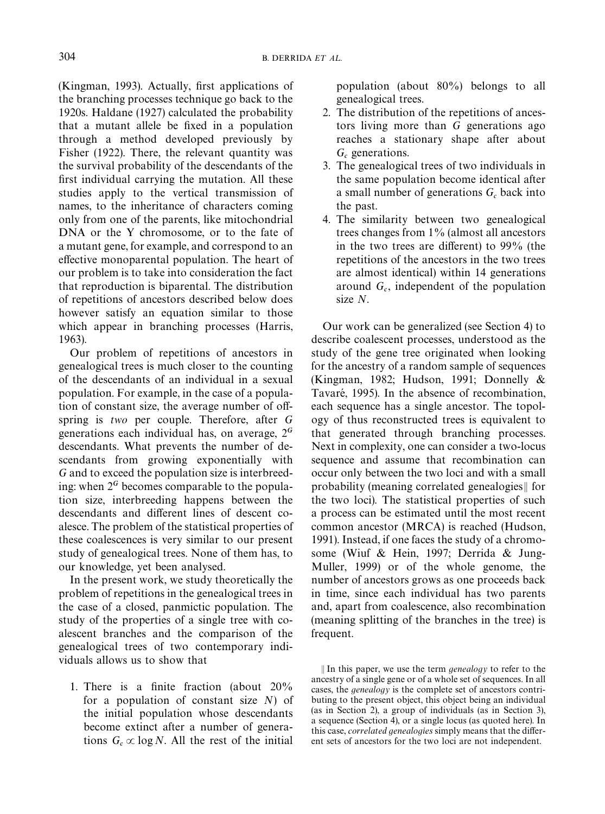$(Kingman, 1993)$ . Actually, first applications of the branching processes technique go back to the 1920s. [Haldane \(1927\)](#page-8-0) calculated the probability that a mutant allele be fixed in a population through a method developed previously by [Fisher \(1922\)](#page-8-0). There, the relevant quantity was the survival probability of the descendants of the first individual carrying the mutation. All these studies apply to the vertical transmission of names, to the inheritance of characters coming only from one of the parents, like mitochondrial DNA or the Y chromosome, or to the fate of a mutant gene, for example, and correspond to an effective monoparental population. The heart of our problem is to take into consideration the fact that reproduction is biparental. The distribution of repetitions of ancestors described below does however satisfy an equation similar to those which appear in branching processes [\(Harris,](#page-8-0) [1963\).](#page-8-0)

Our problem of repetitions of ancestors in genealogical trees is much closer to the counting of the descendants of an individual in a sexual population. For example, in the case of a population of constant size, the average number of offspring is *two* per couple. Therefore, after *G* generations each individual has, on average,  $2<sup>G</sup>$ descendants. What prevents the number of descendants from growing exponentially with *G* and to exceed the population size is interbreeding: when  $2<sup>G</sup>$  becomes comparable to the population size, interbreeding happens between the descendants and different lines of descent coalesce. The problem of the statistical properties of these coalescences is very similar to our present study of genealogical trees. None of them has, to our knowledge, yet been analysed.

In the present work, we study theoretically the problem of repetitions in the genealogical trees in the case of a closed, panmictic population. The study of the properties of a single tree with coalescent branches and the comparison of the genealogical trees of two contemporary individuals allows us to show that

1. There is a finite fraction (about  $20\%$ for a population of constant size *N*) of the initial population whose descendants become extinct after a number of generations  $G_c \propto \log N$ . All the rest of the initial

population (about 80%) belongs to all genealogical trees.

- 2. The distribution of the repetitions of ancestors living more than *G* generations ago reaches a stationary shape after about  $G_c$  generations.
- 3. The genealogical trees of two individuals in the same population become identical after a small number of generations  $G_c$  back into the past.
- 4. The similarity between two genealogical trees changes from 1% (almost all ancestors in the two trees are different) to  $99\%$  (the repetitions of the ancestors in the two trees are almost identical) within 14 generations around  $G_c$ , independent of the population size *N*.

Our work can be generalized (see [Section 4\)](#page-6-0) to describe coalescent processes, understood as the study of the gene tree originated when looking for the ancestry of a random sample of sequences [\(Kingman, 1982; Hudson, 1991; Donnelly &](#page-8-0) Tavaré, 1995). In the absence of recombination, each sequence has a single ancestor. The topology of thus reconstructed trees is equivalent to that generated through branching processes. Next in complexity, one can consider a two-locus sequence and assume that recombination can occur only between the two loci and with a small probability (meaning correlated genealogies $\parallel$  for the two loci). The statistical properties of such a process can be estimated until the most recent common ancestor (MRCA) is reached [\(Hudson,](#page-8-0) [1991\).](#page-8-0) Instead, if one faces the study of a chromosome [\(Wiuf & Hein, 1997; Derrida & Jung-](#page-8-0)[Muller, 1999\)](#page-8-0) or of the whole genome, the number of ancestors grows as one proceeds back in time, since each individual has two parents and, apart from coalescence, also recombination (meaning splitting of the branches in the tree) is frequent.

In this paper, we use the term *genealogy* to refer to the ancestry of a single gene or of a whole set of sequences. In all cases, the *genealogy* is the complete set of ancestors contributing to the present object, this object being an individual (as in Section 2), a group of individuals (as in Section 3), a sequence (Section 4), or a single locus (as quoted here). In this case, *correlated genealogies* simply means that the different sets of ancestors for the two loci are not independent.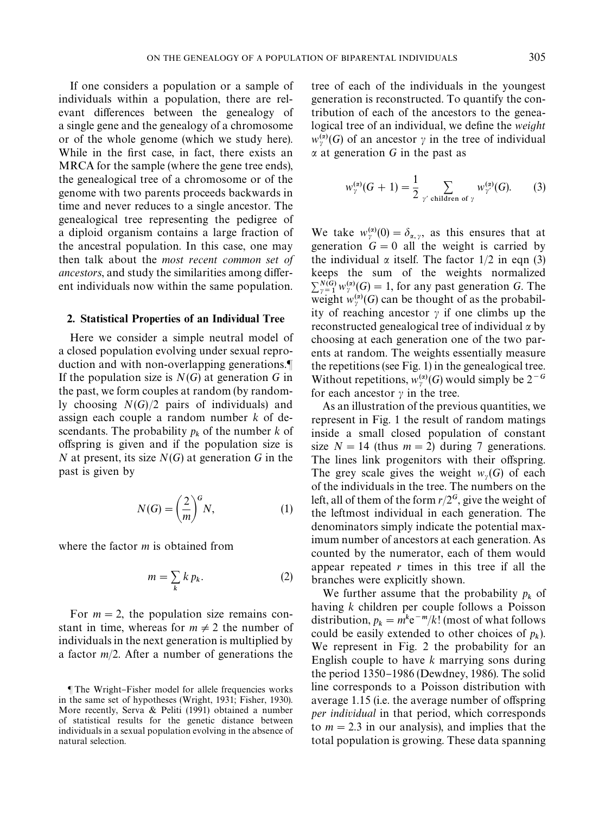<span id="page-2-0"></span>If one considers a population or a sample of individuals within a population, there are relevant differences between the genealogy of a single gene and the genealogy of a chromosome or of the whole genome (which we study here). While in the first case, in fact, there exists an MRCA for the sample (where the gene tree ends), the genealogical tree of a chromosome or of the genome with two parents proceeds backwards in time and never reduces to a single ancestor. The genealogical tree representing the pedigree of a diploid organism contains a large fraction of the ancestral population. In this case, one may then talk about the *most recent common set of ancestors*, and study the similarities among different individuals now within the same population.

## 2. Statistical Properties of an Individual Tree

Here we consider a simple neutral model of a closed population evolving under sexual reproduction and with non-overlapping generations. If the population size is *N*(*G*) at generation *G* in the past, we form couples at random (by randomly choosing *N*(*G*)/2 pairs of individuals) and assign each couple a random number *k* of descendants. The probability  $p_k$  of the number  $k$  of offspring is given and if the population size is *N* at present, its size *N*(*G*) at generation *G* in the past is given by

$$
N(G) = \left(\frac{2}{m}\right)^{G} N,\tag{1}
$$

where the factor *m* is obtained from

$$
m = \sum_{k} k p_k. \tag{2}
$$

For  $m = 2$ , the population size remains constant in time, whereas for  $m \neq 2$  the number of individuals in the next generation is multiplied by a factor *m*/2. After a number of generations the

tree of each of the individuals in the youngest generation is reconstructed. To quantify the contribution of each of the ancestors to the genealogical tree of an individual, we define the *weight*  $w_{\gamma}^{(\alpha)}(G)$  of an ancestor  $\gamma$  in the tree of individual  $\alpha$  at generation *G* in the past as

$$
w_{\gamma}^{(\alpha)}(G+1) = \frac{1}{2} \sum_{\gamma' \text{ children of } \gamma} w_{\gamma'}^{(\alpha)}(G). \tag{3}
$$

We take  $w_{\gamma}^{(\alpha)}(0) = \delta_{\alpha,\gamma}$ , as this ensures that at generation  $G = 0$  all the weight is carried by the individual  $\alpha$  itself. The factor 1/2 in eqn (3) keeps the sum of the weights normalized  $\sum_{\substack{j=1 \ \text{weight}}}^{N(G)} w_j^{(\alpha)}(G) = 1$ , for any past generation *G*. The weight  $w_{\gamma}^{(\alpha)}(G)$  can be thought of as the probabil-<br>ity of massline ameastage wife are alimba we the ity of reaching ancestor  $\gamma$  if one climbs up the reconstructed genealogical tree of individual  $\alpha$  by choosing at each generation one of the two parents at random. The weights essentially measure the repetitions (see [Fig. 1\)](#page-3-0) in the genealogical tree. Without repetitions,  $w_{\gamma}^{(\alpha)}(G)$  would simply be  $2^{-G}$ for each ancestor  $\gamma$  in the tree.

As an illustration of the previous quantities, we represent in [Fig. 1](#page-3-0) the result of random matings inside a small closed population of constant size  $N = 14$  (thus  $m = 2$ ) during 7 generations. The lines link progenitors with their offspring. The grey scale gives the weight  $w_{\gamma}(G)$  of each of the individuals in the tree. The numbers on the of the individuals in the tree. The numbers on the left, all of them of the form  $r/2<sup>G</sup>$ , give the weight of the leftmost individual in each generation. The denominators simply indicate the potential maximum number of ancestors at each generation. As counted by the numerator, each of them would appear repeated *r* times in this tree if all the branches were explicitly shown.

We further assume that the probability  $p_k$  of having *k* children per couple follows a Poisson distribution,  $p_k = m^k e^{-m}/k!$  (most of what follows could be easily extended to other choices of  $p_k$ ). We represent in [Fig. 2](#page-3-0) the probability for an English couple to have *k* marrying sons during the period  $1350-1986$  [\(Dewdney, 1986\).](#page-8-0) The solid line corresponds to a Poisson distribution with average  $1.15$  (i.e. the average number of offspring *per individual* in that period, which corresponds to  $m = 2.3$  in our analysis), and implies that the total population is growing. These data spanning

The Wright-Fisher model for allele frequencies works in the same set of hypotheses (Wright, 1931; Fisher, 1930). More recently, Serva & Peliti (1991) obtained a number of statistical results for the genetic distance between individuals in a sexual population evolving in the absence of natural selection.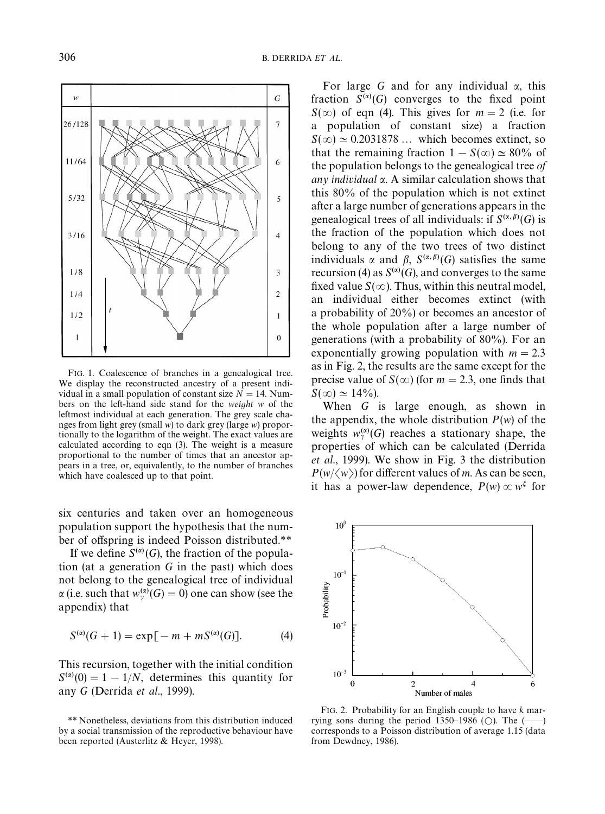<span id="page-3-0"></span>

FIG. 1. Coalescence of branches in a genealogical tree. We display the reconstructed ancestry of a present individual in a small population of constant size  $N = 14$ . Numbers on the left-hand side stand for the *weight w* of the leftmost individual at each generation. The grey scale changes from light grey (small *w*) to dark grey (large *w*) proportionally to the logarithm of the weight. The exact values are calculated according to [eqn \(3\)](#page-2-0). The weight is a measure proportional to the number of times that an ancestor appears in a tree, or, equivalently, to the number of branches which have coalesced up to that point.

six centuries and taken over an homogeneous population support the hypothesis that the number of offspring is indeed Poisson distributed.\*\*

If we define  $S^{(\alpha)}(G)$ , the fraction of the population (at a generation *G* in the past) which does not belong to the genealogical tree of individual  $\alpha$  (i.e. such that  $w_{\gamma}^{(\alpha)}(G) = 0$ ) one can show (see the appendix) that

$$
S^{(\alpha)}(G+1) = \exp[-m + mS^{(\alpha)}(G)].
$$
 (4)

This recursion, together with the initial condition  $S^{(\alpha)}(0) = 1 - 1/N$ , determines this quantity for any *G* [\(Derrida](#page-8-0) *et al*., 1999).

For large *G* and for any individual  $\alpha$ , this fraction  $S^{(\alpha)}(G)$  converges to the fixed point  $S(\infty)$  of eqn (4). This gives for  $m = 2$  (i.e. for a population of constant size) a fraction  $S(\infty) \approx 0.2031878...$  which becomes extinct, so that the remaining fraction  $1 - S(\infty) \approx 80\%$  of the population belongs to the genealogical tree *of any individual* a. A similar calculation shows that this 80% of the population which is not extinct after a large number of generations appears in the genealogical trees of all individuals: if  $S^{(\alpha,\beta)}(G)$  is the fraction of the population which does not belong to any of the two trees of two distinct individuals  $\alpha$  and  $\beta$ ,  $S^{(\alpha,\beta)}(G)$  satisfies the same recursion (4) as  $S^{(\alpha)}(G)$ , and converges to the same fixed value  $S(\infty)$ . Thus, within this neutral model, an individual either becomes extinct (with a probability of 20%) or becomes an ancestor of the whole population after a large number of generations (with a probability of 80%). For an exponentially growing population with  $m = 2.3$ as in Fig. 2, the results are the same except for the precise value of  $S(\infty)$  (for  $m = 2.3$ , one finds that  $S(\infty) \simeq 14\%$ ).

When *G* is large enough, as shown in the appendix, the whole distribution  $P(w)$  of the weights  $w_{\gamma}^{(\alpha)}(G)$  reaches a stationary shape, the properties of which can be calculated [\(Derrida](#page-8-0) *et al*[., 1999\).](#page-8-0) We show in [Fig. 3](#page-4-0) the distribution  $P(w/\langle w \rangle)$  for different values of *m*. As can be seen, it has a power-law dependence,  $P(w) \propto w^{\xi}$  for



FIG. 2. Probability for an English couple to have *k* marrying sons during the period  $1350-1986$  ( $\odot$ ). The  $(\rightarrowtail)$ corresponds to a Poisson distribution of average 1.15 (data from [Dewdney, 1986\)](#page-8-0).

*<sup>\*\*</sup>* Nonetheless, deviations from this distribution induced by a social transmission of the reproductive behaviour have been reported (Austerlitz & Heyer, 1998).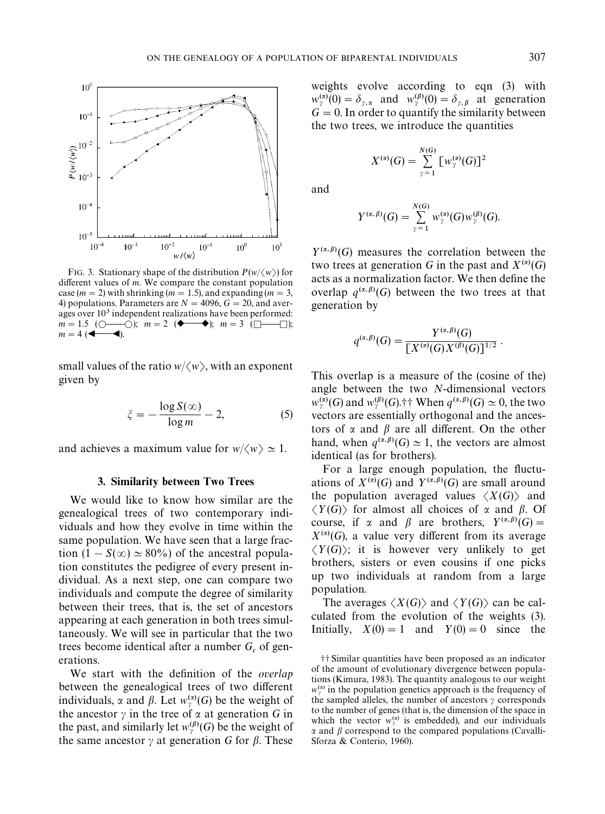<span id="page-4-0"></span>

FIG. 3. Stationary shape of the distribution  $P(w/\langle w \rangle)$  for different values of  $m$ . We compare the constant population case ( $m = 2$ ) with shrinking ( $m = 1.5$ ), and expanding ( $m = 3$ , 4) populations. Parameters are  $N = 4096$ ,  $G = 20$ , and averages over  $10<sup>3</sup>$  independent realizations have been performed:  $m = 1.5$  ( $\bigcirc$ — $\bigcirc$ );  $m = 2$  ( $\blacklozenge$ );  $m = 3$  ( $\Box$  $\Box$ );  $m = 4$  ( $\blacktriangleleft$ ).  $m = 4$  ( $\triangleleft$ 

small values of the ratio  $w/\langle w \rangle$ , with an exponent given by

$$
\xi = -\frac{\log S(\infty)}{\log m} - 2,\tag{5}
$$

and achieves a maximum value for  $w/\langle w \rangle \simeq 1$ .

# 3. Similarity between Two Trees

We would like to know how similar are the genealogical trees of two contemporary individuals and how they evolve in time within the same population. We have seen that a large fraction  $(1 - S(\infty) \approx 80\%)$  of the ancestral population constitutes the pedigree of every present individual. As a next step, one can compare two individuals and compute the degree of similarity between their trees, that is, the set of ancestors appearing at each generation in both trees simultaneously. We will see in particular that the two trees become identical after a number  $G_c$  of generations.

We start with the definition of the *overlap* between the genealogical trees of two different individuals,  $\alpha$  and  $\beta$ . Let  $w_{\gamma}^{(\alpha)}(G)$  be the weight of the ancestor  $\gamma$  in the tree of  $\alpha$  at generation *G* in the past, and similarly let  $w_{\gamma}^{(\beta)}(G)$  be the weight of the same ancestor  $\gamma$  at generation *G* for  $\beta$ . These weights evolve according to [eqn \(3\)](#page-2-0) with  $w_{\gamma}^{(\alpha)}(0) = \delta_{\gamma,\alpha}$  and  $w_{\gamma}^{(\beta)}(0) = \delta_{\gamma,\beta}$  at generation  $G = 0$ . In order to quantify the similarity between the two trees, we introduce the quantities

$$
X^{(\alpha)}(G) = \sum_{\gamma=1}^{N(G)} [w_{\gamma}^{(\alpha)}(G)]^2
$$

and

$$
Y^{(\alpha,\beta)}(G) = \sum_{\gamma=1}^{N(G)} w_{\gamma}^{(\alpha)}(G) w_{\gamma}^{(\beta)}(G).
$$

 $Y^{(\alpha,\beta)}(G)$  measures the correlation between the two trees at generation *G* in the past and  $X^{(\alpha)}(G)$ acts as a normalization factor. We then define the overlap  $q^{(\alpha,\beta)}(G)$  between the two trees at that generation by

$$
q^{(\alpha,\beta)}(G) = \frac{Y^{(\alpha,\beta)}(G)}{[X^{(\alpha)}(G)X^{(\beta)}(G)]^{1/2}}.
$$

This overlap is a measure of the (cosine of the) angle between the two *N*-dimensional vectors  $w_{\nu}^{(\alpha)}(G)$  and  $w_{\nu}^{(\beta)}(G)$ .<sup>+</sup> When  $q^{(\alpha,\beta)}(G) \simeq 0$ , the two vectors are essentially orthogonal and the ancestors of  $\alpha$  and  $\beta$  are all different. On the other hand, when  $q^{(\alpha,\beta)}(G) \simeq 1$ , the vectors are almost identical (as for brothers).

For a large enough population, the fluctuations of  $X^{(\alpha)}(G)$  and  $Y^{(\alpha,\beta)}(G)$  are small around the population averaged values  $\langle X(G) \rangle$  and  $\langle Y(G) \rangle$  for almost all choices of  $\alpha$  and  $\beta$ . Of course, if  $\alpha$  and  $\beta$  are brothers,  $Y^{(\alpha,\beta)}(G) =$  $X^{(\alpha)}(G)$ , a value very different from its average  $\langle Y(G) \rangle$ ; it is however very unlikely to get brothers, sisters or even cousins if one picks up two individuals at random from a large population.

The averages  $\langle X(G) \rangle$  and  $\langle Y(G) \rangle$  can be calculated from the evolution of the weights (3). Initially,  $X(0) = 1$  and  $Y(0) = 0$  since the

 $\dagger \dagger$  Similar quantities have been proposed as an indicator of the amount of evolutionary divergence between populations (Kimura, 1983). The quantity analogous to our weight  $w_{\nu}^{(\alpha)}$  in the population genetics approach is the frequency of the sampled alleles, the number of ancestors  $\gamma$  corresponds to the number of genes (that is, the dimension of the space in which the vector  $w_{\gamma}^{(\alpha)}$  is embedded), and our individuals<br> $\alpha$  and  $\beta$  correspond to the compared populations (Covalli  $\alpha$  and  $\beta$  correspond to the compared populations (Cavalli-Sforza & Conterio, 1960).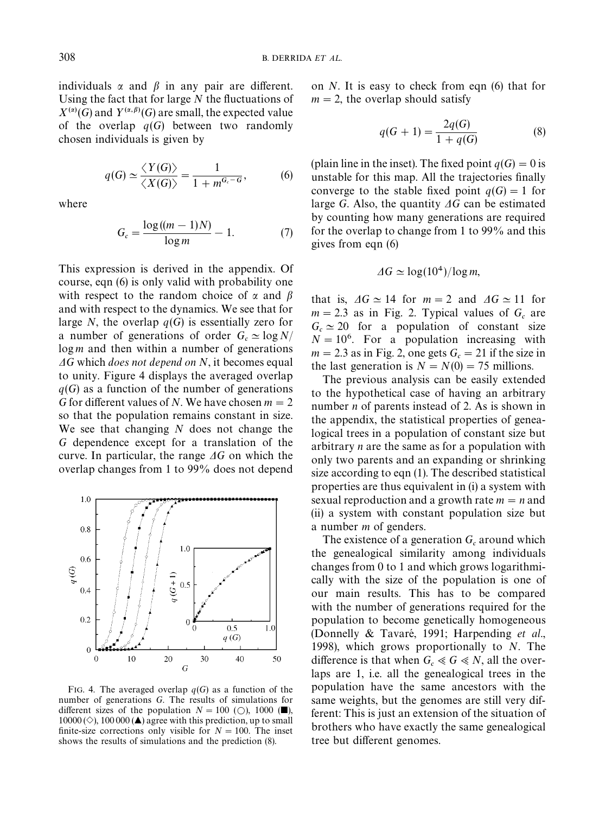<span id="page-5-0"></span>individuals  $\alpha$  and  $\beta$  in any pair are different. Using the fact that for large  $N$  the fluctuations of  $X^{(\alpha)}(G)$  and  $Y^{(\alpha,\beta)}(G)$  are small, the expected value of the overlap  $q(G)$  between two randomly chosen individuals is given by

$$
q(G) \simeq \frac{\langle Y(G) \rangle}{\langle X(G) \rangle} = \frac{1}{1 + m^{G_c - G}},
$$
 (6)

where

$$
G_c = \frac{\log((m-1)N)}{\log m} - 1. \tag{7}
$$

This expression is derived in the appendix. Of course, eqn (6) is only valid with probability one with respect to the random choice of  $\alpha$  and  $\beta$ and with respect to the dynamics. We see that for large *N*, the overlap  $q(G)$  is essentially zero for a number of generations of order  $G_c \simeq \log N/$  log *m* and then within a number of generations  $\Delta G$  which *does not depend on* N, it becomes equal to unity. Figure 4 displays the averaged overlap  $q(G)$  as a function of the number of generations *G* for different values of *N*. We have chosen  $m = 2$ so that the population remains constant in size. We see that changing *N* does not change the *G* dependence except for a translation of the curve. In particular, the range  $\Delta G$  on which the overlap changes from 1 to 99% does not depend



FIG. 4. The averaged overlap  $q(G)$  as a function of the number of generations *G*. The results of simulations for different sizes of the population  $N = 100$  ( $\bigcirc$ ), 1000 ( $\blacksquare$ ),  $10000 \left( \diamond \right)$ , 100 000 ( $\triangle$ ) agree with this prediction, up to small finite-size corrections only visible for  $N = 100$ . The inset shows the results of simulations and the prediction (8).

on *N*. It is easy to check from eqn (6) that for  $m = 2$ , the overlap should satisfy

$$
q(G + 1) = \frac{2q(G)}{1 + q(G)}
$$
 (8)

(plain line in the inset). The fixed point  $q(G) = 0$  is unstable for this map. All the trajectories finally converge to the stable fixed point  $q(G) = 1$  for large *G*. Also, the quantity  $\Delta G$  can be estimated by counting how many generations are required for the overlap to change from 1 to 99% and this gives from eqn (6)

$$
\Delta G \simeq \log(10^4)/\log m,
$$

that is,  $\Delta G \simeq 14$  for  $m = 2$  and  $\Delta G \simeq 11$  for  $m = 2.3$  as in [Fig. 2.](#page-3-0) Typical values of  $G_c$  are  $G_c \simeq 20$  for a population of constant size  $N = 10^6$ . For a population increasing with  $m = 2.3$  as in [Fig. 2,](#page-3-0) one gets  $G_c = 21$  if the size in the last generation is  $N = N(0) = 75$  millions.

The previous analysis can be easily extended to the hypothetical case of having an arbitrary number *n* of parents instead of 2. As is shown in the appendix, the statistical properties of genealogical trees in a population of constant size but arbitrary *n* are the same as for a population with only two parents and an expanding or shrinking size according to [eqn \(1\)](#page-2-0). The described statistical properties are thus equivalent in (i) a system with sexual reproduction and a growth rate  $m = n$  and (ii) a system with constant population size but a number *m* of genders.

The existence of a generation  $G_c$  around which the genealogical similarity among individuals changes from 0 to 1 and which grows logarithmically with the size of the population is one of our main results. This has to be compared with the number of generations required for the population to become genetically homogeneous (Donnelly & Tavaré, 1991; [Harpending](#page-8-0) *et al.*, [1998\),](#page-8-0) which grows proportionally to *N*. The difference is that when  $G_c \ll G \ll N$ , all the over laps are 1, i.e. all the genealogical trees in the population have the same ancestors with the same weights, but the genomes are still very different: This is just an extension of the situation of brothers who have exactly the same genealogical tree but different genomes.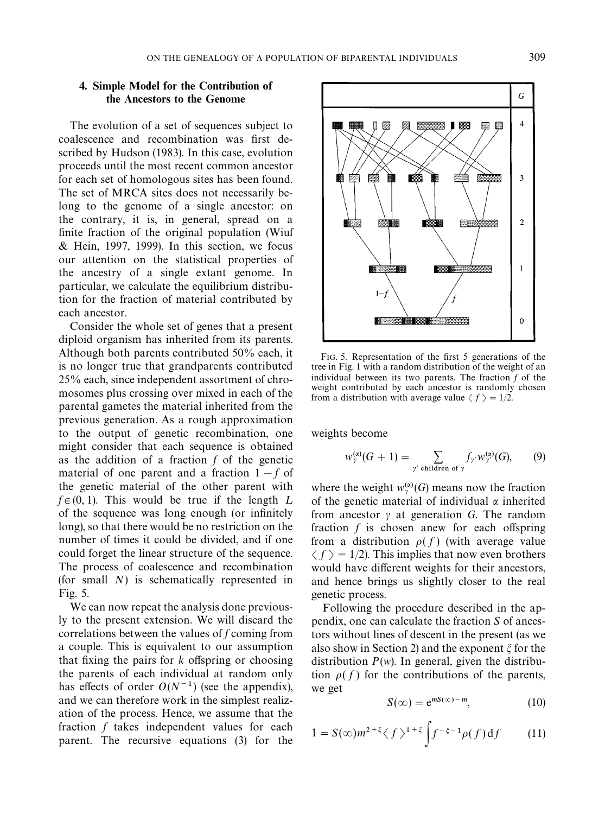# <span id="page-6-0"></span>4. Simple Model for the Contribution of the Ancestors to the Genome

The evolution of a set of sequences subject to coalescence and recombination was first described by [Hudson \(1983\)](#page-8-0). In this case, evolution proceeds until the most recent common ancestor for each set of homologous sites has been found. The set of MRCA sites does not necessarily belong to the genome of a single ancestor: on the contrary, it is, in general, spread on a finite fraction of the original population [\(Wiuf](#page-8-0) [& Hein, 1997, 1999\)](#page-8-0). In this section, we focus our attention on the statistical properties of the ancestry of a single extant genome. In particular, we calculate the equilibrium distribution for the fraction of material contributed by each ancestor.

Consider the whole set of genes that a present diploid organism has inherited from its parents. Although both parents contributed 50% each, it is no longer true that grandparents contributed 25% each, since independent assortment of chromosomes plus crossing over mixed in each of the parental gametes the material inherited from the previous generation. As a rough approximation to the output of genetic recombination, one might consider that each sequence is obtained as the addition of a fraction *f* of the genetic material of one parent and a fraction  $1 - f$  of the genetic material of the other parent with  $f \in (0, 1)$ . This would be true if the length L of the sequence was long enough (or infinitely long), so that there would be no restriction on the number of times it could be divided, and if one could forget the linear structure of the sequence. The process of coalescence and recombination (for small *N*) is schematically represented in Fig. 5.

We can now repeat the analysis done previously to the present extension. We will discard the correlations between the values of *f* coming from a couple. This is equivalent to our assumption that fixing the pairs for  $k$  offspring or choosing the parents of each individual at random only has effects of order  $O(N^{-1})$  (see the appendix), and we can therefore work in the simplest realization of the process. Hence, we assume that the fraction *f* takes independent values for each parent. The recursive [equations \(3\)](#page-2-0) for the



FIG. 5. Representation of the first 5 generations of the tree in [Fig. 1](#page-3-0) with a random distribution of the weight of an individual between its two parents. The fraction *f* of the weight contributed by each ancestor is randomly chosen from a distribution with average value  $\langle f \rangle = 1/2$ .

weights become

$$
w_{\gamma}^{(\alpha)}(G+1) = \sum_{\gamma' \text{ children of } \gamma} f_{\gamma'} w_{\gamma'}^{(\alpha)}(G), \qquad (9)
$$

where the weight  $w_{\gamma}^{(\alpha)}(G)$  means now the fraction<br>of the genetic meterial of individual *u* inherited of the genetic material of individual  $\alpha$  inherited from ancestor  $\gamma$  at generation *G*. The random fraction  $f$  is chosen anew for each offspring from a distribution  $\rho(f)$  (with average value  $\langle f \rangle = 1/2$ ). This implies that now even brothers would have different weights for their ancestors, and hence brings us slightly closer to the real genetic process.

Following the procedure described in the appendix, one can calculate the fraction *S* of ancestors without lines of descent in the present (as we also show in [Section 2\)](#page-2-0) and the exponent  $\xi$  for the distribution  $P(w)$ . In general, given the distribution  $\rho(f)$  for the contributions of the parents, we get

$$
S(\infty) = e^{mS(\infty) - m}, \tag{10}
$$

$$
1 = S(\infty)m^{2+\xi}\langle f \rangle^{1+\xi} \int f^{-\xi-1}\rho(f) df \qquad (11)
$$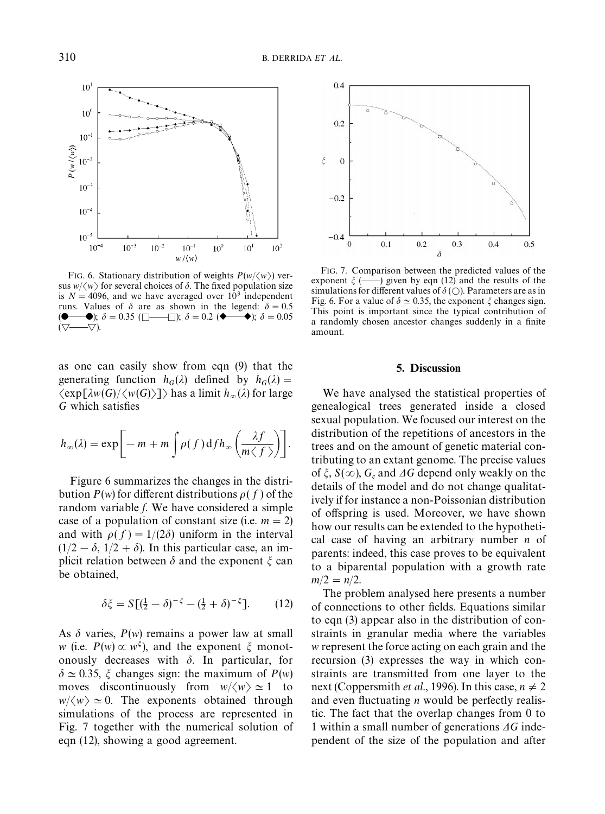

FIG. 6. Stationary distribution of weights  $P(w/\langle w \rangle)$  versus  $w/\langle w \rangle$  for several choices of  $\delta$ . The fixed population size is  $N = 4096$ , and we have averaged over  $10<sup>3</sup>$  independent runs. Values of  $\delta$  are as shown in the legend:  $\delta = 0.5$  $\delta = 0.35$  ( $\Box$ );  $\delta = 0.2$  ( $\blacklozenge$ );  $\delta = 0.05$  $(\nabla \longrightarrow \nabla)$ .

as one can easily show from [eqn \(9\)](#page-6-0) that the generating function  $h_G(\lambda)$  defined by  $h_G(\lambda) =$  $\langle \exp[\lambda w(G)/\langle w(G) \rangle] \rangle$  has a limit  $h_\infty(\lambda)$  for large *G* which satisfies

$$
h_{\infty}(\lambda) = \exp \bigg[ -m + m \int \rho(f) \, df h_{\infty} \left( \frac{\lambda f}{m \langle f \rangle} \right) \bigg].
$$

Figure 6 summarizes the changes in the distribution  $P(w)$  for different distributions  $\rho(f)$  of the random variable *f*. We have considered a simple case of a population of constant size (i.e.  $m = 2$ ) and with  $\rho(f) = 1/(2\delta)$  uniform in the interval  $(1/2 - \delta, 1/2 + \delta)$ . In this particular case, an implicit relation between  $\delta$  and the exponent  $\xi$  can be obtained,

$$
\delta \xi = S[(\frac{1}{2} - \delta)^{-\xi} - (\frac{1}{2} + \delta)^{-\xi}].
$$
 (12)

As  $\delta$  varies,  $P(w)$  remains a power law at small *w* (i.e.  $P(w) \propto w^{\xi}$ ), and the exponent  $\xi$  monotonously decreases with  $\delta$ . In particular, for  $\delta \simeq 0.35$ ,  $\xi$  changes sign: the maximum of *P*(*w*) moves discontinuously from  $w/\langle w \rangle \simeq 1$  to  $w/\langle w \rangle \simeq 0$ . The exponents obtained through simulations of the process are represented in Fig. 7 together with the numerical solution of eqn (12), showing a good agreement.



FIG. 7. Comparison between the predicted values of the exponent m (\*\*) given by eqn (12) and the results of the simulations for different values of  $\delta$  ( $\bigcirc$ ). Parameters are as in Fig. 6. For a value of  $\delta \simeq 0.35$ , the exponent  $\zeta$  changes sign. This point is important since the typical contribution of a randomly chosen ancestor changes suddenly in a finite amount.

# 5. Discussion

We have analysed the statistical properties of genealogical trees generated inside a closed sexual population. We focused our interest on the distribution of the repetitions of ancestors in the trees and on the amount of genetic material contributing to an extant genome. The precise values of  $\xi$ ,  $S(\infty)$ ,  $G_c$  and  $\Delta G$  depend only weakly on the details of the model and do not change qualitatively if for instance a non-Poissonian distribution of offspring is used. Moreover, we have shown how our results can be extended to the hypothetical case of having an arbitrary number *n* of parents: indeed, this case proves to be equivalent to a biparental population with a growth rate  $m/2 = n/2$ .

The problem analysed here presents a number of connections to other fields. Equations similar to [eqn \(3\)](#page-2-0) appear also in the distribution of constraints in granular media where the variables *w* represent the force acting on each grain and the recursion (3) expresses the way in which constraints are transmitted from one layer to the next [\(Coppersmith](#page-8-0) *et al.*, 1996). In this case,  $n \neq 2$ and even fluctuating *n* would be perfectly realistic. The fact that the overlap changes from 0 to 1 within a small number of generations  $\Delta G$  independent of the size of the population and after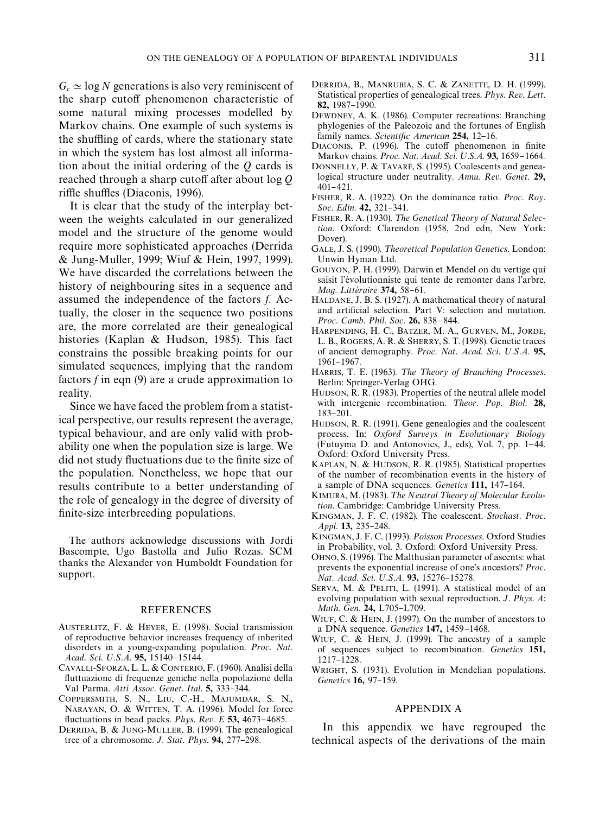<span id="page-8-0"></span> $G_c \simeq \log N$  generations is also very reminiscent of the sharp cutoff phenomenon characteristic of some natural mixing processes modelled by Markov chains. One example of such systems is the shuffling of cards, where the stationary state in which the system has lost almost all information about the initial ordering of the *Q* cards is reached through a sharp cutoff after about log Q riffle shuffles (Diaconis, 1996).

It is clear that the study of the interplay between the weights calculated in our generalized model and the structure of the genome would require more sophisticated approaches (Derrida & Jung-Muller, 1999; Wiuf & Hein, 1997, 1999). We have discarded the correlations between the history of neighbouring sites in a sequence and assumed the independence of the factors *f*. Actually, the closer in the sequence two positions are, the more correlated are their genealogical histories (Kaplan & Hudson, 1985). This fact constrains the possible breaking points for our simulated sequences, implying that the random factors  $f$  in eqn  $(9)$  are a crude approximation to reality.

Since we have faced the problem from a statistical perspective, our results represent the average, typical behaviour, and are only valid with probability one when the population size is large. We did not study fluctuations due to the finite size of the population. Nonetheless, we hope that our results contribute to a better understanding of the role of genealogy in the degree of diversity of finite-size interbreeding populations.

The authors acknowledge discussions with Jordi Bascompte, Ugo Bastolla and Julio Rozas. SCM thanks the Alexander von Humboldt Foundation for support.

#### REFERENCES

- AUSTERLITZ, F. & HEYER, E. (1998). Social transmission of reproductive behavior increases frequency of inherited disorders in a young-expanding population. *Proc*. *Nat*. *Acad*. *Sci*. ;.*S*.*A*. 95, 15140}15144.
- CAVALLI-SFORZA,L. L. & CONTERIO, F. (1960). Analisi della fluttuazione di frequenze geniche nella popolazione della Val Parma. *Atti Assoc. Genet. Ital.* 5, 333-344.
- COPPERSMITH, S. N., LIU, C.-H., MAJUMDAR, S. N., NARAYAN, O. & WITTEN, T. A. (1996). Model for force fluctuations in bead packs. *Phys. Rev. E* 53, 4673-4685.
- DERRIDA, B. & JUNG-MULLER, B. (1999). The genealogical tree of a chromosome. *J. Stat. Phys.* **94,** 277–298.
- DERRIDA, B., MANRUBIA, S. C. & ZANETTE, D. H. (1999). Statistical properties of genealogical trees. *Phys. Rev. Lett.* 82, 1987-1990.
- DEWDNEY, A. K. (1986). Computer recreations: Branching phylogenies of the Paleozoic and the fortunes of English family names. *Scientific American* 254, 12-16.
- DIACONIS, P. (1996). The cutoff phenomenon in finite Markov chains. *Proc. Nat. Acad. Sci. U.S.A.* 93, 1659-1664.
- DONNELLY, P. & TAVARÉ, S. (1995). Coalescents and genealogical structure under neutrality. *Annu*. *Rev*. *Genet*. 29, 401}421.
- FISHER, R. A. (1922). On the dominance ratio. *Proc*. *Roy*. *Soc. Edin.* **42,** 321-341.
- FISHER, R. A. (1930). The Genetical Theory of Natural Selec*tion*. Oxford: Clarendon (1958, 2nd edn, New York: Dover).
- GALE, J. S. (1990). *Theoretical Population Genetics*. London: Unwin Hyman Ltd.
- GOUYON, P. H. (1999). Darwin et Mendel on du vertige qui saisit l'évolutionniste qui tente de remonter dans l'arbre. *Mag. Littéraire* 374, 58-61.
- HALDANE, J. B. S. (1927). A mathematical theory of natural and artificial selection. Part V: selection and mutation. *Proc. Camb. Phil. Soc.* 26, 838-844.
- HARPENDING, H. C., BATZER, M. A., GURVEN, M., JORDE, L. B., ROGERS, A. R. & SHERRY, S. T. (1998). Genetic traces of ancient demography. *Proc. Nat. Acad. Sci. U.S.A.* 95, 1961-1967.
- HARRIS, T. E. (1963). The Theory of Branching Processes. Berlin: Springer-Verlag OHG.
- HUDSON, R. R. (1983). Properties of the neutral allele model with intergenic recombination. *Theor. Pop. Biol.* 28, 183-201.
- HUDSON, R. R. (1991). Gene genealogies and the coalescent process. In: *Oxford Surveys in Evolutionary Biology* (Futuyma D. and Antonovics, J., eds), Vol. 7, pp. 1-44. Oxford: Oxford University Press.
- KAPLAN, N. & HUDSON, R. R. (1985). Statistical properties of the number of recombination events in the history of a sample of DNA sequences. *Genetics* 111, 147-164.
- KIMURA, M. (1983). The Neutral Theory of Molecular Evolu*tion*. Cambridge: Cambridge University Press.
- KINGMAN, J. F. C. (1982). The coalescent. *Stochast*. *Proc*. Appl. 13, 235-248.
- KINGMAN, J. F. C. (1993). *Poisson Processes*. Oxford Studies in Probability, vol. 3. Oxford: Oxford University Press.
- OHNO, S. (1996). The Malthusian parameter of ascents: what prevents the exponential increase of one's ancestors? *Proc*. *Nat. Acad. Sci. U.S.A.* 93, 15276-15278.
- SERVA, M. & PELITI, L. (1991). A statistical model of an evolving population with sexual reproduction. *J*. *Phys*. *A*: *Math. Gen.* 24, L705-L709.
- WIUF, C. & HEIN, J. (1997). On the number of ancestors to a DNA sequence. *Genetics* **147**, **1459**-1468.
- WIUF, C. & HEIN, J. (1999). The ancestry of a sample of sequences subject to recombination. *Genetics* 151, 1217}1228.
- WRIGHT, S. (1931). Evolution in Mendelian populations. *Genetics* 16, 97-159.

## APPENDIX A

In this appendix we have regrouped the technical aspects of the derivations of the main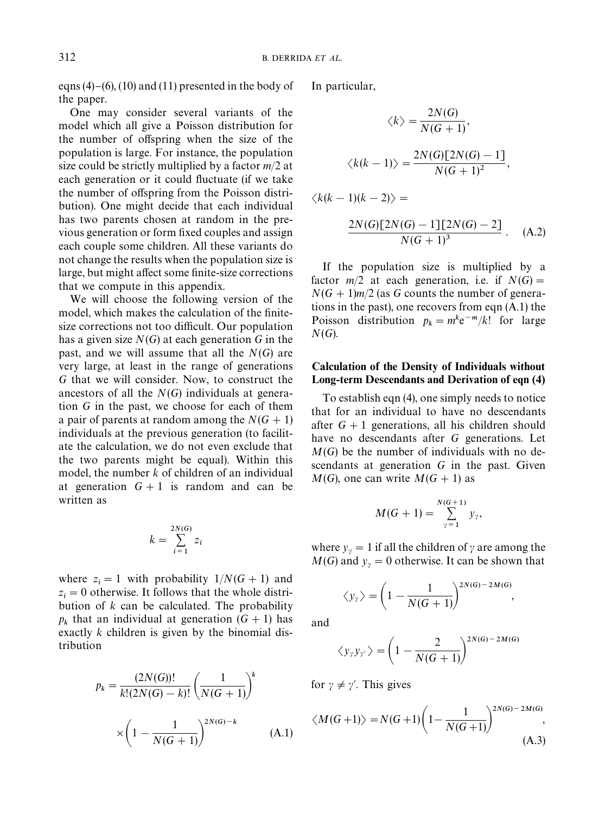<span id="page-9-0"></span>eqns  $(4)-(6)$ ,  $(10)$  and  $(11)$  presented in the body of the paper.

One may consider several variants of the model which all give a Poisson distribution for the number of offspring when the size of the population is large. For instance, the population size could be strictly multiplied by a factor *m*/2 at each generation or it could fluctuate (if we take the number of offspring from the Poisson distribution). One might decide that each individual has two parents chosen at random in the previous generation or form fixed couples and assign each couple some children. All these variants do not change the results when the population size is large, but might affect some finite-size corrections that we compute in this appendix.

We will choose the following version of the model, which makes the calculation of the finitesize corrections not too difficult. Our population has a given size  $N(G)$  at each generation *G* in the past, and we will assume that all the *N*(*G*) are very large, at least in the range of generations *G* that we will consider. Now, to construct the ancestors of all the *N*(*G*) individuals at generation *G* in the past, we choose for each of them a pair of parents at random among the  $N(G + 1)$ individuals at the previous generation (to facilitate the calculation, we do not even exclude that the two parents might be equal). Within this model, the number *k* of children of an individual at generation  $G + 1$  is random and can be written as

$$
k = \sum_{i=1}^{2N(G)} z_i
$$

where  $z_i = 1$  with probability  $1/N(G + 1)$  and  $z_i = 0$  otherwise. It follows that the whole distri bution of *k* can be calculated. The probability  $p_k$  that an individual at generation  $(G + 1)$  has exactly *k* children is given by the binomial distribution

$$
p_k = \frac{(2N(G))!}{k!(2N(G)-k)!} \left(\frac{1}{N(G+1)}\right)^k
$$

$$
\times \left(1 - \frac{1}{N(G+1)}\right)^{2N(G)-k} \tag{A.1}
$$

In particular,

$$
\langle k \rangle = \frac{2N(G)}{N(G+1)},
$$
  

$$
\langle k(k-1) \rangle = \frac{2N(G)[2N(G)-1]}{N(G+1)^2},
$$
  

$$
\langle k(k-1)(k-2) \rangle = \frac{2N(G)[2N(G)-1][2N(G)-2]}{N(G+1)^3}.
$$
 (A.2)

If the population size is multiplied by a factor  $m/2$  at each generation, i.e. if  $N(G) =$  $N(G + 1)m/2$  (as *G* counts the number of generations in the past), one recovers from eqn (A.1) the Poisson distribution  $p_k = m^k e^{-m}/k!$  for large *N*(*G*).

# Calculation of the Density of Individuals without Long-term Descendants and Derivation of [eqn \(4\)](#page-3-0)

To establish [eqn \(4\)](#page-3-0), one simply needs to notice that for an individual to have no descendants after  $G + 1$  generations, all his children should have no descendants after *G* generations. Let *M*(*G*) be the number of individuals with no descendants at generation *G* in the past. Given  $M(G)$ , one can write  $M(G + 1)$  as

$$
M(G + 1) = \sum_{\gamma=1}^{N(G+1)} y_{\gamma},
$$

where  $y_y = 1$  if all the children of  $\gamma$  are among the  $M(G)$  and  $y_\gamma = 0$  otherwise. It can be shown that

$$
\langle y_{\gamma} \rangle = \left(1 - \frac{1}{N(G+1)}\right)^{2N(G)-2M(G)},
$$

and

$$
\langle y_{\gamma} y_{\gamma'} \rangle = \left(1 - \frac{2}{N(G+1)}\right)^{2N(G)-2M(G)}
$$

for  $\gamma \neq \gamma'$ . This gives

$$
\langle M(G+1) \rangle = N(G+1) \left( 1 - \frac{1}{N(G+1)} \right)^{2N(G)-2M(G)},
$$
\n(A.3)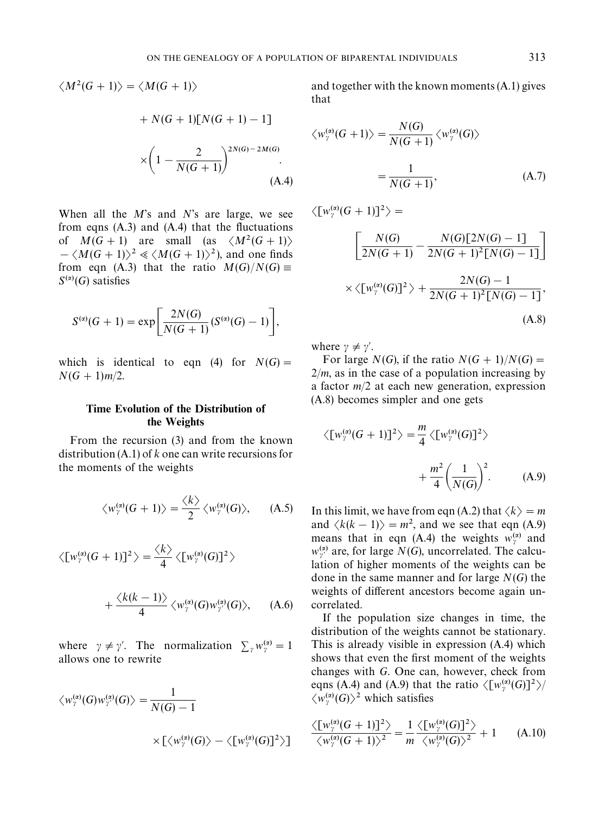<span id="page-10-0"></span>
$$
\langle M^2(G+1)\rangle = \langle M(G+1)\rangle
$$
  
+ N(G+1)[N(G+1) - 1]  

$$
\times \left(1 - \frac{2}{N(G+1)}\right)^{2N(G)-2M(G)}
$$
.  
(A.4)

When all the *M*'s and *N*'s are large, we see from eqns  $(A.3)$  and  $(A.4)$  that the fluctuations of  $M(G + 1)$  are small (as  $\langle M^2(G + 1) \rangle$  $-\langle M(G+1)\rangle^2 \ll \langle M(G+1)\rangle^2$ , and one finds from [eqn \(A.3\)](#page-9-0) that the ratio  $M(G)/N(G) \equiv$  $S^{(\alpha)}(G)$  satisfies

$$
S^{(\alpha)}(G+1) = \exp \bigg[ \frac{2N(G)}{N(G+1)} (S^{(\alpha)}(G)-1) \bigg],
$$

which is identical to [eqn \(4\)](#page-3-0) for  $N(G) =$  $N(G + 1)m/2$ .

# Time Evolution of the Distribution of the Weights

From the recursion (3) and from the known distribution (A.1) of *k* one can write recursions for the moments of the weights

$$
\langle w_{\gamma}^{(\alpha)}(G+1)\rangle = \frac{\langle k\rangle}{2} \langle w_{\gamma}^{(\alpha)}(G)\rangle, \quad (A.5)
$$

$$
\langle [w_{\gamma}^{(\alpha)}(G+1)]^2 \rangle = \frac{\langle k \rangle}{4} \langle [w_{\gamma}^{(\alpha)}(G)]^2 \rangle
$$

$$
+\frac{\langle k(k-1)\rangle}{4}\langle w^{(\alpha)}_{\gamma}(G)w^{(\alpha)}_{\gamma'}(G)\rangle, \quad (A.6)
$$

where  $\gamma \neq \gamma'$ . The normalization  $\sum_{\gamma} w_{\gamma}^{(\alpha)} = 1$ allows one to rewrite

$$
\langle w_{\gamma}^{(\alpha)}(G)w_{\gamma'}^{(\alpha)}(G)\rangle = \frac{1}{N(G)-1}
$$

$$
\times \left[\langle w_{\gamma}^{(\alpha)}(G)\rangle - \langle [w_{\gamma}^{(\alpha)}(G)]^2 \rangle\right]
$$

and together with the known moments (A.1) gives that

$$
\langle w_{\gamma}^{(\alpha)}(G+1)\rangle = \frac{N(G)}{N(G+1)} \langle w_{\gamma}^{(\alpha)}(G)\rangle
$$

$$
= \frac{1}{N(G+1)},
$$
(A.7)

 $\langle [w_{\gamma}^{(\alpha)}(G+1)]^2 \rangle =$ 

$$
\left[\frac{N(G)}{2N(G+1)} - \frac{N(G)[2N(G)-1]}{2N(G+1)^{2}[N(G)-1]}\right]
$$
  
 
$$
\times \langle [w_{\gamma}^{(\alpha)}(G)]^{2} \rangle + \frac{2N(G)-1}{2N(G+1)^{2}[N(G)-1]},
$$
  
(A.8)

where  $\gamma \neq \gamma'$ .

For large *N*(*G*), if the ratio  $N(G + 1)/N(G) =$  $2/m$ , as in the case of a population increasing by a factor *m*/2 at each new generation, expression (A.8) becomes simpler and one gets

$$
\langle [w_{\gamma}^{(\alpha)}(G+1)]^2 \rangle = \frac{m}{4} \langle [w_{\gamma}^{(\alpha)}(G)]^2 \rangle
$$

$$
+ \frac{m^2}{4} \left(\frac{1}{N(G)}\right)^2. \tag{A.9}
$$

In this limit, we have from [eqn \(A.2\)](#page-9-0) that  $\langle k \rangle = m$ and  $\langle k(k-1) \rangle = m^2$ , and we see that eqn (A.9) means that in eqn (A.4) the weights  $w_{\gamma}^{(a)}$  and<br> $w_{\gamma}^{(a)}$  are for large  $N(C)$  uncorrelated. The sales  $w_{y'}^{(\alpha)}$  are, for large *N*(*G*), uncorrelated. The calculation of higher moments of the weights can be done in the same manner and for large *N*(*G*) the weights of different ancestors become again uncorrelated.

If the population size changes in time, the distribution of the weights cannot be stationary. This is already visible in expression (A.4) which shows that even the first moment of the weights changes with *G*. One can, however, check from eqns (A.4) and (A.9) that the ratio  $\langle [w_\gamma^{(\alpha)}(G)]^2 \rangle /$  $\langle w_{\gamma}^{(\alpha)}(G) \rangle^2$  which satisfies

$$
\frac{\langle [w_{\gamma}^{(\alpha)}(G+1)]^2 \rangle}{\langle w_{\gamma}^{(\alpha)}(G+1) \rangle^2} = \frac{1}{m} \frac{\langle [w_{\gamma}^{(\alpha)}(G)]^2 \rangle}{\langle w_{\gamma}^{(\alpha)}(G) \rangle^2} + 1
$$
 (A.10)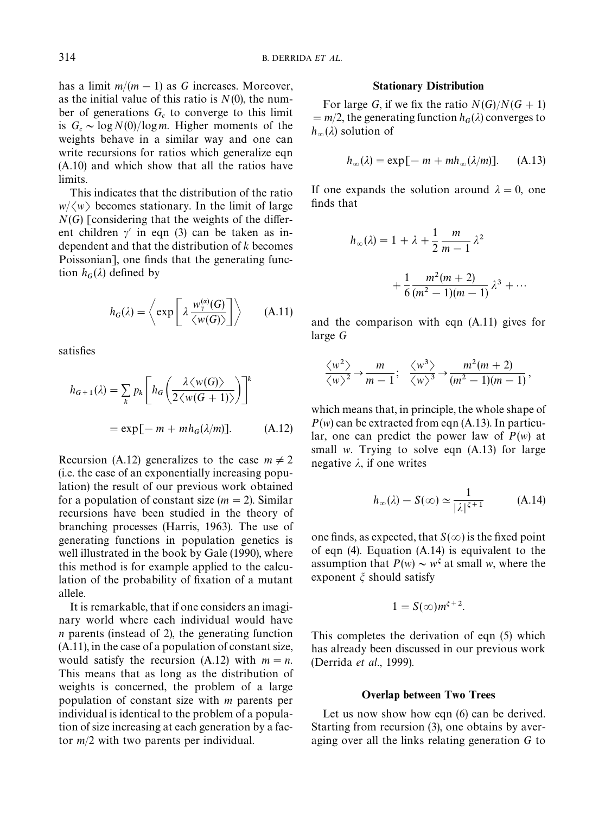has a limit  $m/(m-1)$  as *G* increases. Moreover, as the initial value of this ratio is  $N(0)$ , the number of generations  $G_c$  to converge to this limit is  $G_c \sim \log N(0)/\log m$ . Higher moments of the weights behave in a similar way and one can write recursions for ratios which generalize [eqn](#page-10-0) [\(A.10\)](#page-10-0) and which show that all the ratios have limits.

This indicates that the distribution of the ratio  $w/\langle w \rangle$  becomes stationary. In the limit of large  $N(G)$  [considering that the weights of the different children  $\gamma'$  in [eqn \(3\)](#page-2-0) can be taken as independent and that the distribution of *k* becomes Poissonian], one finds that the generating function  $h_G(\lambda)$  defined by

$$
h_G(\lambda) = \left\langle \exp\left[\lambda \frac{w_{\gamma}^{(\alpha)}(G)}{\langle w(G) \rangle}\right] \right\rangle \qquad (A.11)
$$

satisfies

$$
h_{G+1}(\lambda) = \sum_{k} p_k \left[ h_G \left( \frac{\lambda \langle w(G) \rangle}{2 \langle w(G+1) \rangle} \right) \right]^k
$$
  
= exp[-m + mh\_G(\lambda/m)]. (A.12)

Recursion (A.12) generalizes to the case  $m \neq 2$ (i.e. the case of an exponentially increasing population) the result of our previous work obtained for a population of constant size  $(m = 2)$ . Similar recursions have been studied in the theory of branching processes [\(Harris, 1963\)](#page-8-0). The use of generating functions in population genetics is well illustrated in the book by [Gale \(1990\)](#page-8-0), where this method is for example applied to the calculation of the probability of fixation of a mutant allele.

It is remarkable, that if one considers an imaginary world where each individual would have *n* parents (instead of 2), the generating function (A.11), in the case of a population of constant size, would satisfy the recursion  $(A.12)$  with  $m = n$ . This means that as long as the distribution of weights is concerned, the problem of a large population of constant size with *m* parents per individual is identical to the problem of a population of size increasing at each generation by a factor *m*/2 with two parents per individual.

## Stationary Distribution

For large *G*, if we fix the ratio  $N(G)/N(G + 1)$  $= m/2$ , the generating function  $h_G(\lambda)$  converges to  $h_{\infty}(\lambda)$  solution of

$$
h_{\infty}(\lambda) = \exp[-m + mh_{\infty}(\lambda/m)]. \quad (A.13)
$$

If one expands the solution around  $\lambda = 0$ , one finds that

$$
h_{\infty}(\lambda) = 1 + \lambda + \frac{1}{2} \frac{m}{m-1} \lambda^2
$$

$$
+ \frac{1}{6} \frac{m^2(m+2)}{(m^2 - 1)(m-1)} \lambda^3 + \cdots
$$

and the comparison with eqn (A.11) gives for large *G*

$$
\frac{\langle w^2 \rangle}{\langle w \rangle^2} \rightarrow \frac{m}{m-1}; \quad \frac{\langle w^3 \rangle}{\langle w \rangle^3} \rightarrow \frac{m^2(m+2)}{(m^2-1)(m-1)},
$$

which means that, in principle, the whole shape of *P*(*w*) can be extracted from eqn (A.13). In particular, one can predict the power law of *P*(*w*) at small *w*. Trying to solve eqn (A.13) for large negative  $\lambda$ , if one writes

$$
h_{\infty}(\lambda) - S(\infty) \simeq \frac{1}{|\lambda|^{\xi+1}} \tag{A.14}
$$

one finds, as expected, that  $S(\infty)$  is the fixed point of [eqn \(4\).](#page-3-0) Equation (A.14) is equivalent to the assumption that  $P(w) \sim w^{\xi}$  at small *w*, where the exponent  $\xi$  should satisfy

$$
1 = S(\infty)m^{\xi+2}.
$$

This completes the derivation of [eqn \(5\)](#page-4-0) which has already been discussed in our previous work [\(Derrida](#page-8-0) *et al*., 1999).

## Overlap between Two Trees

Let us now show how eqn  $(6)$  can be derived. Starting from recursion (3), one obtains by averaging over all the links relating generation *G* to